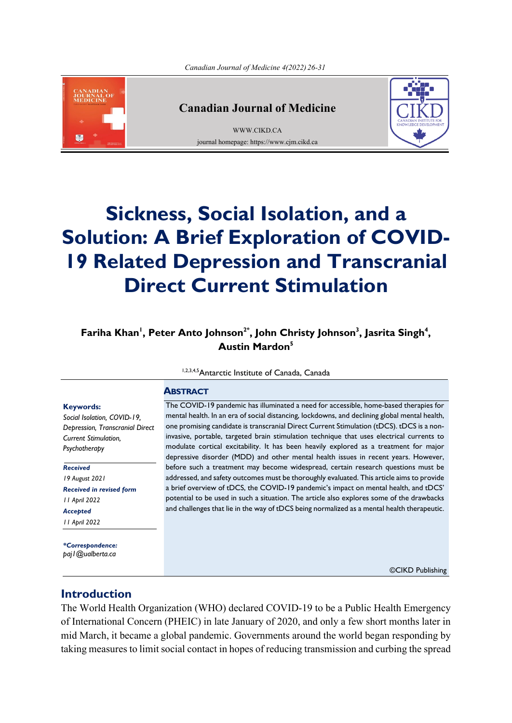

## **Canadian Journal of Medicine**

[WWW.CIKD.CA](http://www.cikd.ca/) journal homepage: https://www.cjm.cikd.ca



# **Sickness, Social Isolation, and a Solution: A Brief Exploration of COVID-19 Related Depression and Transcranial Direct Current Stimulation**

## **, <sup>4</sup> , Jasrita Singh <sup>3</sup> , John Christy Johnson 2\* , Peter Anto Johnson <sup>1</sup> Fariha Khan <sup>5</sup> Austin Mardon**

1,2,3,4,5 Antarctic Institute of Canada, Canada

## **ABSTRACT**

#### **Keywords:**

*Social Isolation, COVID-19, Depression, Transcranial Direct Current Stimulation, Psychotherapy*

*Received 19 August 2021 Received in revised form 11 April 2022 Accepted 11 April 2022*

*\*Correspondence: paj1@ualberta.ca*

The COVID-19 pandemic has illuminated a need for accessible, home-based therapies for mental health. In an era of social distancing, lockdowns, and declining global mental health, one promising candidate is transcranial Direct Current Stimulation (tDCS). tDCS is a noninvasive, portable, targeted brain stimulation technique that uses electrical currents to modulate cortical excitability. It has been heavily explored as a treatment for major depressive disorder (MDD) and other mental health issues in recent years. However, before such a treatment may become widespread, certain research questions must be addressed, and safety outcomes must be thoroughly evaluated. This article aims to provide a brief overview of tDCS, the COVID-19 pandemic's impact on mental health, and tDCS' potential to be used in such a situation. The article also explores some of the drawbacks and challenges that lie in the way of tDCS being normalized as a mental health therapeutic.

©CIKD Publishing

## **Introduction**

The World Health Organization (WHO) declared COVID-19 to be a Public Health Emergency of International Concern (PHEIC) in late January of 2020, and only a few short months later in mid March, it became a global pandemic. Governments around the world began responding by taking measures to limit social contact in hopes of reducing transmission and curbing the spread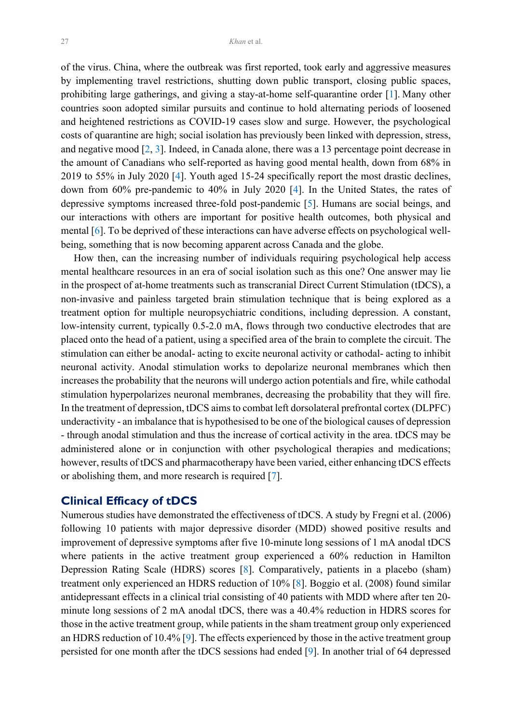<span id="page-1-0"></span>of the virus. China, where the outbreak was first reported, took early and aggressive measures by implementing travel restrictions, shutting down public transport, closing public spaces, prohibiting large gatherings, and giving a stay-at-home self-quarantine order [[1\]](#page-4-0). Many other countries soon adopted similar pursuits and continue to hold alternating periods of loosened and heightened restrictions as COVID-19 cases slow and surge. However, the psychological costs of quarantine are high; social isolation has previously been linked with depression, stress, and negative mood [[2,](#page-4-0) [3\]](#page-4-0). Indeed, in Canada alone, there was a 13 percentage point decrease in the amount of Canadians who self-reported as having good mental health, down from 68% in 2019 to 55% in July 2020 [\[4](#page-4-0)]. Youth aged 15-24 specifically report the most drastic declines, down from 60% pre-pandemic to 40% in July 2020 [\[4](#page-4-0)]. In the United States, the rates of depressive symptoms increased three-fold post-pandemic [[5\]](#page-4-0). Humans are social beings, and our interactions with others are important for positive health outcomes, both physical and mental [\[6](#page-4-0)]. To be deprived of these interactions can have adverse effects on psychological wellbeing, something that is now becoming apparent across Canada and the globe.

 How then, can the increasing number of individuals requiring psychological help access mental healthcare resources in an era of social isolation such as this one? One answer may lie in the prospect of at-home treatments such as transcranial Direct Current Stimulation (tDCS), a non-invasive and painless targeted brain stimulation technique that is being explored as a treatment option for multiple neuropsychiatric conditions, including depression. A constant, low-intensity current, typically 0.5-2.0 mA, flows through two conductive electrodes that are placed onto the head of a patient, using a specified area of the brain to complete the circuit. The stimulation can either be anodal- acting to excite neuronal activity or cathodal- acting to inhibit neuronal activity. Anodal stimulation works to depolarize neuronal membranes which then increases the probability that the neurons will undergo action potentials and fire, while cathodal stimulation hyperpolarizes neuronal membranes, decreasing the probability that they will fire. In the treatment of depression, tDCS aims to combat left dorsolateral prefrontal cortex (DLPFC) underactivity - an imbalance that is hypothesised to be one of the biological causes of depression - through anodal stimulation and thus the increase of cortical activity in the area. tDCS may be administered alone or in conjunction with other psychological therapies and medications; however, results of tDCS and pharmacotherapy have been varied, either enhancing tDCS effects or abolishing them, and more research is required [[7\]](#page-4-0).

#### **Clinical Efficacy of tDCS**

Numerous studies have demonstrated the effectiveness of tDCS. A study by Fregni et al. (2006) following 10 patients with major depressive disorder (MDD) showed positive results and improvement of depressive symptoms after five 10-minute long sessions of 1 mA anodal tDCS where patients in the active treatment group experienced a 60% reduction in Hamilton Depression Rating Scale (HDRS) scores [\[8](#page-4-0)]. Comparatively, patients in a placebo (sham) treatment only experienced an HDRS reduction of 10% [\[8](#page-4-0)]. Boggio et al. (2008) found similar antidepressant effects in a clinical trial consisting of 40 patients with MDD where after ten 20 minute long sessions of 2 mA anodal tDCS, there was a 40.4% reduction in HDRS scores for those in the active treatment group, while patients in the sham treatment group only experienced an HDRS reduction of 10.4% [\[9](#page-4-0)]. The effects experienced by those in the active treatment group persisted for one month after the tDCS sessions had ended [[9\]](#page-4-0). In another trial of 64 depressed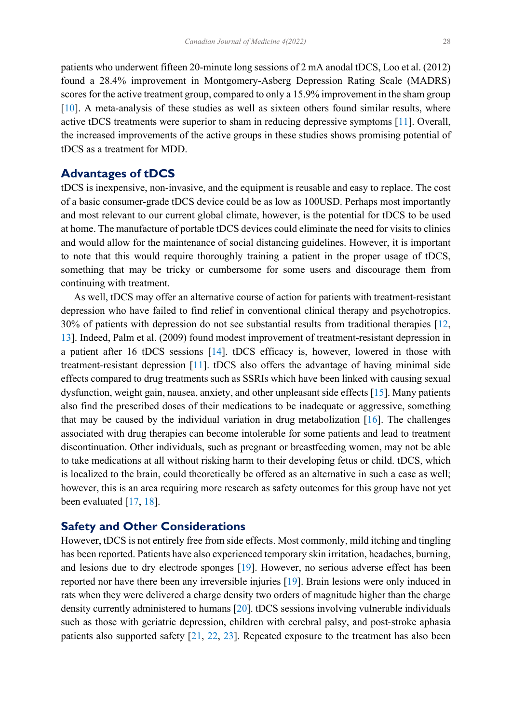<span id="page-2-0"></span>patients who underwent fifteen 20-minute long sessions of 2 mA anodal tDCS, Loo et al. (2012) found a 28.4% improvement in Montgomery-Asberg Depression Rating Scale (MADRS) scores for the active treatment group, compared to only a 15.9% improvement in the sham group [[10\]](#page-4-0). A meta-analysis of these studies as well as sixteen others found similar results, where active tDCS treatments were superior to sham in reducing depressive symptoms [[11\]](#page-4-0). Overall, the increased improvements of the active groups in these studies shows promising potential of tDCS as a treatment for MDD.

## **Advantages of tDCS**

tDCS is inexpensive, non-invasive, and the equipment is reusable and easy to replace. The cost of a basic consumer-grade tDCS device could be as low as 100USD. Perhaps most importantly and most relevant to our current global climate, however, is the potential for tDCS to be used at home. The manufacture of portable tDCS devices could eliminate the need for visits to clinics and would allow for the maintenance of social distancing guidelines. However, it is important to note that this would require thoroughly training a patient in the proper usage of tDCS, something that may be tricky or cumbersome for some users and discourage them from continuing with treatment.

 As well, tDCS may offer an alternative course of action for patients with treatment-resistant depression who have failed to find relief in conventional clinical therapy and psychotropics. 30% of patients with depression do not see substantial results from traditional therapies [[12,](#page-4-0) [13\]](#page-4-0). Indeed, Palm et al. (2009) found modest improvement of treatment-resistant depression in a patient after 16 tDCS sessions [\[14](#page-4-0)]. tDCS efficacy is, however, lowered in those with treatment-resistant depression [[11\]](#page-4-0). tDCS also offers the advantage of having minimal side effects compared to drug treatments such as SSRIs which have been linked with causing sexual dysfunction, weight gain, nausea, anxiety, and other unpleasant side effects [\[15](#page-4-0)]. Many patients also find the prescribed doses of their medications to be inadequate or aggressive, something that may be caused by the individual variation in drug metabolization  $[16]$  $[16]$ . The challenges associated with drug therapies can become intolerable for some patients and lead to treatment discontinuation. Other individuals, such as pregnant or breastfeeding women, may not be able to take medications at all without risking harm to their developing fetus or child. tDCS, which is localized to the brain, could theoretically be offered as an alternative in such a case as well; however, this is an area requiring more research as safety outcomes for this group have not yet been evaluated [[17,](#page-5-0) [18\]](#page-5-0).

## **Safety and Other Considerations**

However, tDCS is not entirely free from side effects. Most commonly, mild itching and tingling has been reported. Patients have also experienced temporary skin irritation, headaches, burning, and lesions due to dry electrode sponges [\[19](#page-5-0)]. However, no serious adverse effect has been reported nor have there been any irreversible injuries [\[19](#page-5-0)]. Brain lesions were only induced in rats when they were delivered a charge density two orders of magnitude higher than the charge density currently administered to humans [[20\]](#page-5-0). tDCS sessions involving vulnerable individuals such as those with geriatric depression, children with cerebral palsy, and post-stroke aphasia patients also supported safety [[21,](#page-5-0) [22](#page-5-0), [23](#page-5-0)]. Repeated exposure to the treatment has also been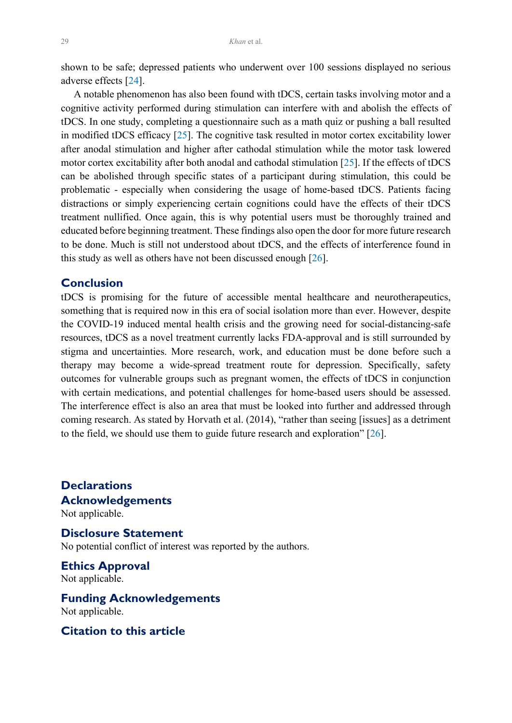<span id="page-3-0"></span>shown to be safe; depressed patients who underwent over 100 sessions displayed no serious adverse effects [[24\]](#page-5-0).

 A notable phenomenon has also been found with tDCS, certain tasks involving motor and a cognitive activity performed during stimulation can interfere with and abolish the effects of tDCS. In one study, completing a questionnaire such as a math quiz or pushing a ball resulted in modified tDCS efficacy  $[25]$  $[25]$ . The cognitive task resulted in motor cortex excitability lower after anodal stimulation and higher after cathodal stimulation while the motor task lowered motor cortex excitability after both anodal and cathodal stimulation [\[25](#page-5-0)]. If the effects of tDCS can be abolished through specific states of a participant during stimulation, this could be problematic - especially when considering the usage of home-based tDCS. Patients facing distractions or simply experiencing certain cognitions could have the effects of their tDCS treatment nullified. Once again, this is why potential users must be thoroughly trained and educated before beginning treatment. These findings also open the door for more future research to be done. Much is still not understood about tDCS, and the effects of interference found in this study as well as others have not been discussed enough [\[26](#page-5-0)].

## **Conclusion**

tDCS is promising for the future of accessible mental healthcare and neurotherapeutics, something that is required now in this era of social isolation more than ever. However, despite the COVID-19 induced mental health crisis and the growing need for social-distancing-safe resources, tDCS as a novel treatment currently lacks FDA-approval and is still surrounded by stigma and uncertainties. More research, work, and education must be done before such a therapy may become a wide-spread treatment route for depression. Specifically, safety outcomes for vulnerable groups such as pregnant women, the effects of tDCS in conjunction with certain medications, and potential challenges for home-based users should be assessed. The interference effect is also an area that must be looked into further and addressed through coming research. As stated by Horvath et al. (2014), "rather than seeing [issues] as a detriment to the field, we should use them to guide future research and exploration" [[26\]](#page-5-0).

**Declarations Acknowledgements**  Not applicable.

**Disclosure Statement** No potential conflict of interest was reported by the authors.

**Ethics Approval** Not applicable.

**Funding Acknowledgements**  Not applicable.

**Citation to this article**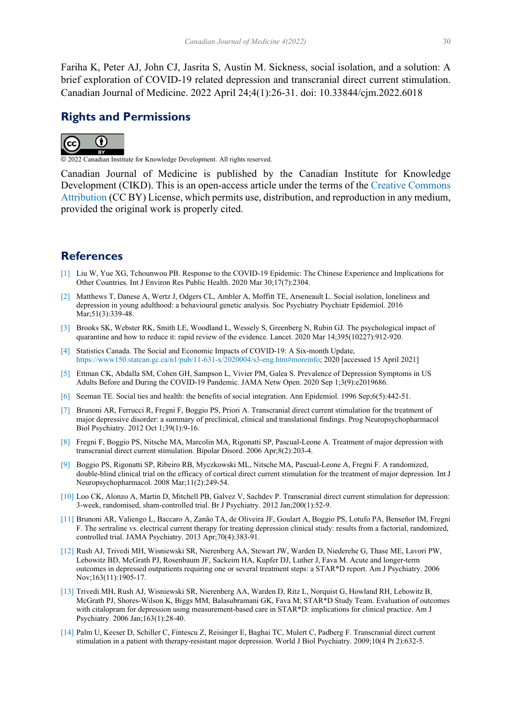<span id="page-4-0"></span>Fariha K, Peter AJ, John CJ, Jasrita S, Austin M. Sickness, social isolation, and a solution: A brief exploration of COVID-19 related depression and transcranial direct current stimulation. Canadian Journal of Medicine. 2022 April 24;4(1):26-31. doi: 10.33844/cjm.2022.6018

## **Rights and Permissions**



© 2022 Canadian Institute for Knowledge Development. All rights reserved.

Canadian Journal of Medicine is published by the Canadian Institute for Knowledge Development (CIKD). This is an open-access article under the terms of the [Creative Commons](https://creativecommons.org/licenses/by/4.0/)  [Attribution](https://creativecommons.org/licenses/by/4.0/) (CC BY) License, which permits use, distribution, and reproduction in any medium, provided the original work is properly cited.

## **References**

- [\[1\]](#page-1-0) Liu W, Yue XG, Tchounwou PB. Response to the COVID-19 Epidemic: The Chinese Experience and Implications for Other Countries. Int J Environ Res Public Health. 2020 Mar 30;17(7):2304.
- [\[2\]](#page-1-0) Matthews T, Danese A, Wertz J, Odgers CL, Ambler A, Moffitt TE, Arseneault L. Social isolation, loneliness and depression in young adulthood: a behavioural genetic analysis. Soc Psychiatry Psychiatr Epidemiol. 2016 Mar;51(3):339-48.
- [\[3\]](#page-1-0) Brooks SK, Webster RK, Smith LE, Woodland L, Wessely S, Greenberg N, Rubin GJ. The psychological impact of quarantine and how to reduce it: rapid review of the evidence. Lancet. 2020 Mar 14;395(10227):912-920.
- [\[4\]](#page-1-0) Statistics Canada. The Social and Economic Impacts of COVID-19: A Six-month Update, [https://www150.statcan.gc.ca/n1/pub/11-631-x/2020004/s3-eng.htm#moreinfo;](https://www150.statcan.gc.ca/n1/pub/11-631-x/2020004/s3-eng.htm#moreinfo) 2020 [accessed 15 April 2021]
- [\[5\]](#page-1-0) Ettman CK, Abdalla SM, Cohen GH, Sampson L, Vivier PM, Galea S. Prevalence of Depression Symptoms in US Adults Before and During the COVID-19 Pandemic. JAMA Netw Open. 2020 Sep 1;3(9):e2019686.
- [\[6\]](#page-1-0) Seeman TE. Social ties and health: the benefits of social integration. Ann Epidemiol. 1996 Sep;6(5):442-51.
- [\[7\]](#page-1-0) Brunoni AR, Ferrucci R, Fregni F, Boggio PS, Priori A. Transcranial direct current stimulation for the treatment of major depressive disorder: a summary of preclinical, clinical and translational findings. Prog Neuropsychopharmacol Biol Psychiatry. 2012 Oct 1;39(1):9-16.
- [\[8\]](#page-1-0) Fregni F, Boggio PS, Nitsche MA, Marcolin MA, Rigonatti SP, Pascual-Leone A. Treatment of major depression with transcranial direct current stimulation. Bipolar Disord. 2006 Apr;8(2):203-4.
- [\[9\]](#page-1-0) Boggio PS, Rigonatti SP, Ribeiro RB, Myczkowski ML, Nitsche MA, Pascual-Leone A, Fregni F. A randomized, double-blind clinical trial on the efficacy of cortical direct current stimulation for the treatment of major depression. Int J Neuropsychopharmacol. 2008 Mar;11(2):249-54.
- [\[10\]](#page-2-0) Loo CK, Alonzo A, Martin D, Mitchell PB, Galvez V, Sachdev P. Transcranial direct current stimulation for depression: 3-week, randomised, sham-controlled trial. Br J Psychiatry. 2012 Jan;200(1):52-9.
- [\[11\]](#page-2-0) Brunoni AR, Valiengo L, Baccaro A, Zanão TA, de Oliveira JF, Goulart A, Boggio PS, Lotufo PA, Benseñor IM, Fregni F. The sertraline vs. electrical current therapy for treating depression clinical study: results from a factorial, randomized, controlled trial. JAMA Psychiatry. 2013 Apr;70(4):383-91.
- [\[12\]](#page-2-0) Rush AJ, Trivedi MH, Wisniewski SR, Nierenberg AA, Stewart JW, Warden D, Niederehe G, Thase ME, Lavori PW, Lebowitz BD, McGrath PJ, Rosenbaum JF, Sackeim HA, Kupfer DJ, Luther J, Fava M. Acute and longer-term outcomes in depressed outpatients requiring one or several treatment steps: a STAR\*D report. Am J Psychiatry. 2006 Nov;163(11):1905-17.
- [\[13\]](#page-2-0) Trivedi MH, Rush AJ, Wisniewski SR, Nierenberg AA, Warden D, Ritz L, Norquist G, Howland RH, Lebowitz B, McGrath PJ, Shores-Wilson K, Biggs MM, Balasubramani GK, Fava M; STAR\*D Study Team. Evaluation of outcomes with citalopram for depression using measurement-based care in STAR\*D: implications for clinical practice. Am J Psychiatry. 2006 Jan;163(1):28-40.
- [\[14\]](#page-2-0) Palm U, Keeser D, Schiller C, Fintescu Z, Reisinger E, Baghai TC, Mulert C, Padberg F. Transcranial direct current stimulation in a patient with therapy-resistant major depression. World J Biol Psychiatry. 2009;10(4 Pt 2):632-5.